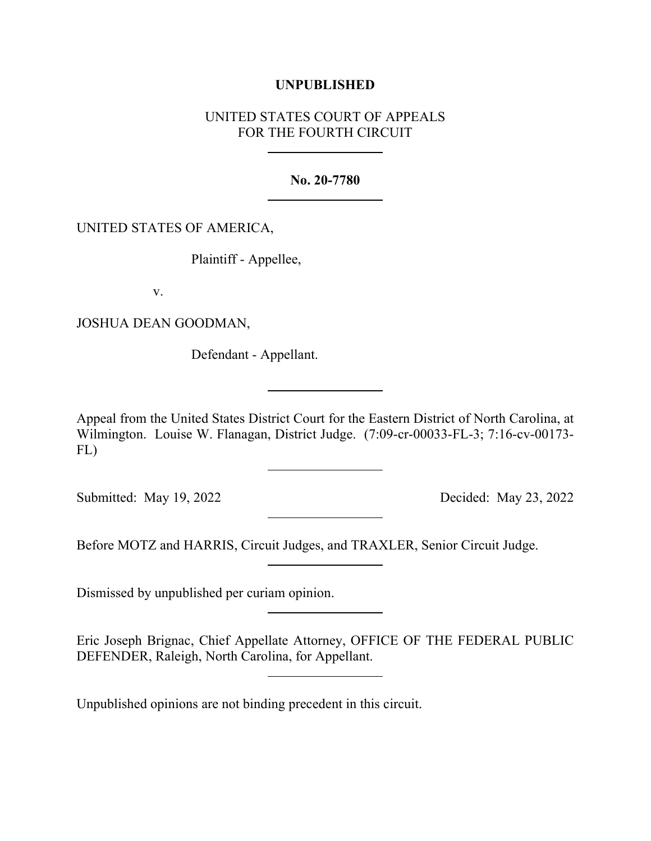## **UNPUBLISHED**

# UNITED STATES COURT OF APPEALS FOR THE FOURTH CIRCUIT

**No. 20-7780**

## UNITED STATES OF AMERICA,

Plaintiff - Appellee,

v.

JOSHUA DEAN GOODMAN,

Defendant - Appellant.

Appeal from the United States District Court for the Eastern District of North Carolina, at Wilmington. Louise W. Flanagan, District Judge. (7:09-cr-00033-FL-3; 7:16-cv-00173- FL)

Submitted: May 19, 2022 Decided: May 23, 2022

Before MOTZ and HARRIS, Circuit Judges, and TRAXLER, Senior Circuit Judge.

Dismissed by unpublished per curiam opinion.

Eric Joseph Brignac, Chief Appellate Attorney, OFFICE OF THE FEDERAL PUBLIC DEFENDER, Raleigh, North Carolina, for Appellant.

Unpublished opinions are not binding precedent in this circuit.